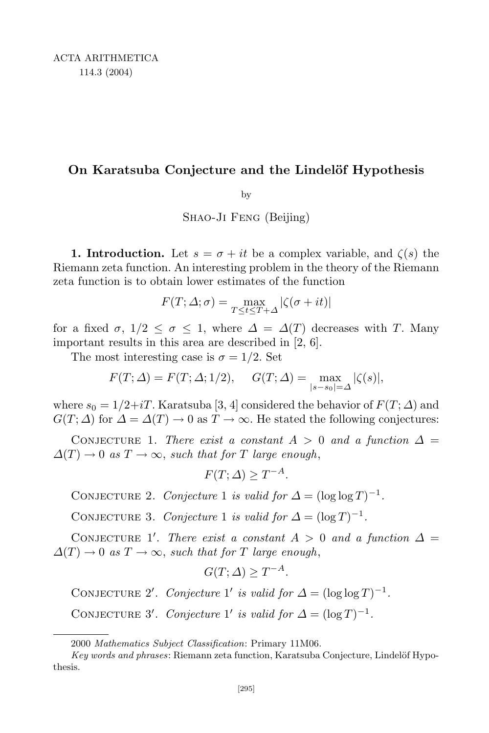## **On Karatsuba Conjecture and the Lindel¨of Hypothesis**

by

Shao-Ji Feng (Beijing)

**1. Introduction.** Let  $s = \sigma + it$  be a complex variable, and  $\zeta(s)$  the Riemann zeta function. An interesting problem in the theory of the Riemann zeta function is to obtain lower estimates of the function

$$
F(T; \varDelta; \sigma) = \max_{T \leq t \leq T+\varDelta} |\zeta(\sigma + it)|
$$

for a fixed  $\sigma$ ,  $1/2 \leq \sigma \leq 1$ , where  $\Delta = \Delta(T)$  decreases with *T*. Many important results in this area are described in [2, 6].

The most interesting case is  $\sigma = 1/2$ . Set

$$
F(T; \Delta) = F(T; \Delta; 1/2), \quad G(T; \Delta) = \max_{|s - s_0| = \Delta} |\zeta(s)|,
$$

where  $s_0 = 1/2+iT$ . Karatsuba [3, 4] considered the behavior of  $F(T; \Delta)$  and  $G(T; \Delta)$  for  $\Delta = \Delta(T) \rightarrow 0$  as  $T \rightarrow \infty$ . He stated the following conjectures:

CONJECTURE 1. *There exist* a *constant*  $A > 0$  *and* a function  $\Delta =$  $\Delta(T) \rightarrow 0$  *as*  $T \rightarrow \infty$ , *such that for T large enough*,

$$
F(T; \Delta) \ge T^{-A}.
$$

CONJECTURE 2. *Conjecture* 1 *is valid for*  $\Delta = (\log \log T)^{-1}$ .

CONJECTURE 3. *Conjecture* 1 *is valid for*  $\Delta = (\log T)^{-1}$ .

CONJECTURE 1'. *There exist a constant*  $A > 0$  *and a function*  $\Delta =$  $\Delta(T) \rightarrow 0$  *as*  $T \rightarrow \infty$ , *such that for T large enough*,

$$
G(T; \Delta) \ge T^{-A}.
$$

CONJECTURE 2'. Conjecture 1' is valid for  $\Delta = (\log \log T)^{-1}$ .

CONJECTURE 3'. *Conjecture* 1' *is valid for*  $\Delta = (\log T)^{-1}$ .

<sup>2000</sup> *Mathematics Subject Classification*: Primary 11M06.

*Key words and phrases*: Riemann zeta function, Karatsuba Conjecture, Lindelöf Hypothesis.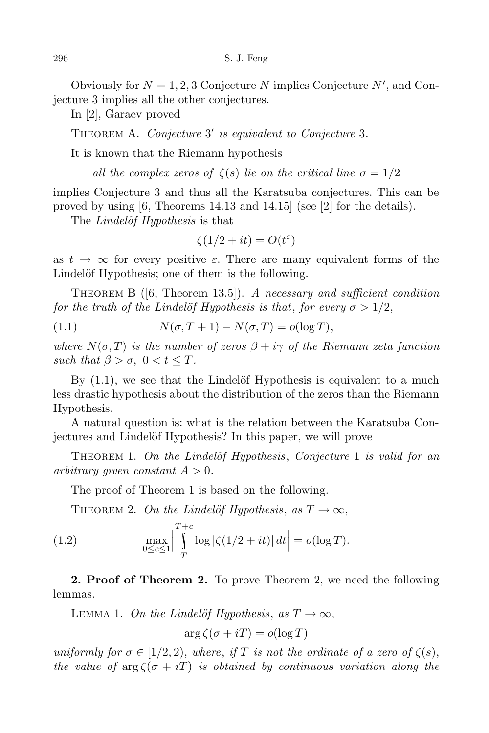Obviously for  $N = 1, 2, 3$  Conjecture  $N$  implies Conjecture  $N'$ , and Conjecture 3 implies all the other conjectures.

In [2], Garaev proved

THEOREM A. *Conjecture* 3' *is equivalent to Conjecture* 3.

It is known that the Riemann hypothesis

*all* the *complex zeros of*  $\zeta(s)$  *lie on* the *critical line*  $\sigma = 1/2$ 

implies Conjecture 3 and thus all the Karatsuba conjectures. This can be proved by using [6, Theorems 14.13 and 14.15] (see [2] for the details).

The *Lindelöf Hypothesis* is that

$$
\zeta(1/2+it) = O(t^{\varepsilon})
$$

as  $t \to \infty$  for every positive  $\varepsilon$ . There are many equivalent forms of the Lindelöf Hypothesis; one of them is the following.

Theorem B ([6, Theorem 13.5]). *A necessary and sufficient condition for the truth of the Lindelöf Hypothesis is that*, *for every*  $\sigma > 1/2$ ,

(1.1) 
$$
N(\sigma, T+1) - N(\sigma, T) = o(\log T),
$$

*where*  $N(\sigma, T)$  *is the number of zeros*  $\beta + i\gamma$  *of the Riemann zeta function such that*  $\beta > \sigma$ ,  $0 < t < T$ .

By  $(1.1)$ , we see that the Lindelöf Hypothesis is equivalent to a much less drastic hypothesis about the distribution of the zeros than the Riemann Hypothesis.

A natural question is: what is the relation between the Karatsuba Conjectures and Lindelöf Hypothesis? In this paper, we will prove

Theorem 1. *On the Lindel¨of Hypothesis*, *Conjecture* 1 *is valid for an arbitrary given constant*  $A > 0$ *.* 

The proof of Theorem 1 is based on the following.

THEOREM 2. *On the Lindelöf Hypothesis, as*  $T \rightarrow \infty$ ,

(1.2) 
$$
\max_{0 \le c \le 1} \left| \int_{T}^{T+c} \log |\zeta(1/2 + it)| dt \right| = o(\log T).
$$

**2. Proof of Theorem 2.** To prove Theorem 2, we need the following lemmas.

LEMMA 1. *On the Lindelöf Hypothesis*,  $as T \rightarrow \infty$ ,

$$
\arg \zeta(\sigma + iT) = o(\log T)
$$

*uniformly for*  $\sigma \in [1/2, 2)$ , *where, if T is not the ordinate of a zero of*  $\zeta(s)$ , *the value* of  $\arg \zeta(\sigma + iT)$  *is obtained by continuous variation along the*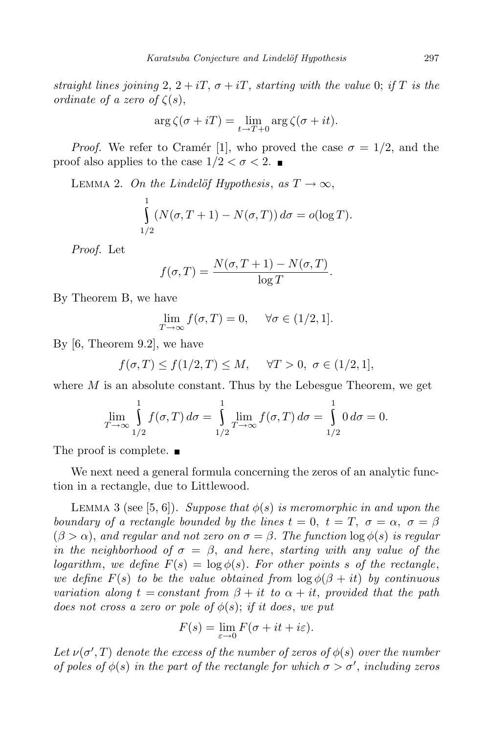*straight* lines *joining* 2,  $2 + iT$ ,  $\sigma + iT$ , *starting with* the *value* 0; *if T is the ordinate of a zero of*  $\zeta(s)$ ,

$$
\arg \zeta(\sigma + iT) = \lim_{t \to T+0} \arg \zeta(\sigma + it).
$$

*Proof.* We refer to Cramér [1], who proved the case  $\sigma = 1/2$ , and the proof also applies to the case  $1/2 < \sigma < 2$ .

LEMMA 2. *On the Lindelöf Hypothesis*,  $as T \rightarrow \infty$ ,  $\frac{1}{c}$ 1*/*2  $(N(\sigma, T + 1) - N(\sigma, T)) d\sigma = o(\log T).$ 

*Proof.* Let

$$
f(\sigma,T) = \frac{N(\sigma,T+1) - N(\sigma,T)}{\log T}.
$$

By Theorem B, we have

$$
\lim_{T \to \infty} f(\sigma, T) = 0, \quad \forall \sigma \in (1/2, 1].
$$

By [6, Theorem 9.2], we have

$$
f(\sigma, T) \le f(1/2, T) \le M, \quad \forall T > 0, \ \sigma \in (1/2, 1],
$$

where  $M$  is an absolute constant. Thus by the Lebesgue Theorem, we get

$$
\lim_{T \to \infty} \int_{1/2}^{1} f(\sigma, T) d\sigma = \int_{1/2}^{1} \lim_{T \to \infty} f(\sigma, T) d\sigma = \int_{1/2}^{1} 0 d\sigma = 0.
$$

The proof is complete.  $\blacksquare$ 

We next need a general formula concerning the zeros of an analytic function in a rectangle, due to Littlewood.

**LEMMA** 3 (see [5, 6]). *Suppose that*  $\phi(s)$  *is meromorphic in and upon the boundary of a rectangle bounded by the lines*  $t = 0$ ,  $t = T$ ,  $\sigma = \alpha$ ,  $\sigma = \beta$  $(\beta > \alpha)$ , and regular and not zero on  $\sigma = \beta$ . The function  $\log \phi(s)$  is regular *in* the neighborhood of  $\sigma = \beta$ , and here, starting with any value of the *logarithm*, *we define*  $F(s) = \log \phi(s)$ *. For other points s of the rectangle*, *we define*  $F(s)$  *to be the value obtained from*  $\log \phi(\beta + it)$  *by continuous variation along*  $t = constant$  *from*  $\beta + it$  *to*  $\alpha + it$ , *provided that the path does* not *cross a zero or pole of*  $\phi(s)$ ; *if it does*, *we put* 

$$
F(s) = \lim_{\varepsilon \to 0} F(\sigma + it + i\varepsilon).
$$

Let  $\nu(\sigma', T)$  denote the excess of the number of zeros of  $\phi(s)$  over the number *of* poles of  $\phi(s)$  *in the part of the rectangle for which*  $\sigma > \sigma'$ , *including zeros*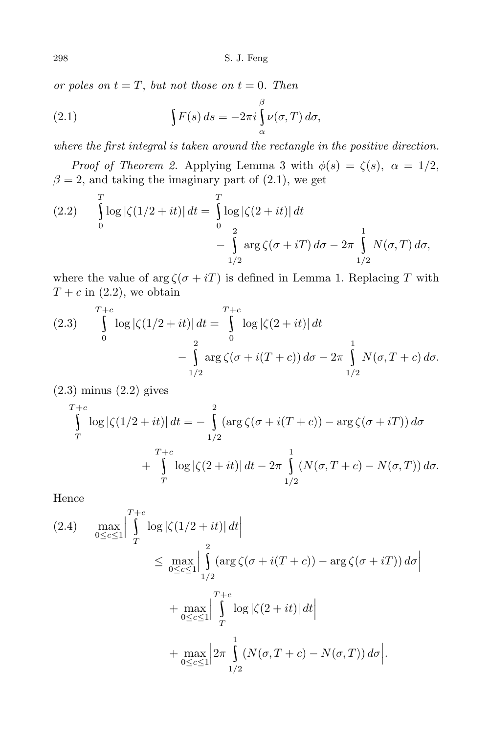*or poles on*  $t = T$ , *but not those on*  $t = 0$ *. Then* 

(2.1) 
$$
\int F(s) ds = -2\pi i \int_{\alpha}^{\beta} \nu(\sigma, T) d\sigma,
$$

*where the first integral is taken around the rectangle in the positive direction.*

*Proof of Theorem 2.* Applying Lemma 3 with  $\phi(s) = \zeta(s), \ \alpha = 1/2$ ,  $\beta = 2$ , and taking the imaginary part of (2.1), we get

(2.2) 
$$
\int_{0}^{T} \log |\zeta(1/2 + it)| dt = \int_{0}^{T} \log |\zeta(2 + it)| dt - \int_{1/2}^{2} \arg \zeta(\sigma + iT) d\sigma - 2\pi \int_{1/2}^{1} N(\sigma, T) d\sigma,
$$

where the value of  $\arg \zeta(\sigma + iT)$  is defined in Lemma 1. Replacing *T* with  $T + c$  in (2.2), we obtain

(2.3) 
$$
\int_{0}^{T+c} \log |\zeta(1/2 + it)| dt = \int_{0}^{T+c} \log |\zeta(2 + it)| dt - \int_{1/2}^{2} \arg \zeta(\sigma + i(T + c)) d\sigma - 2\pi \int_{1/2}^{1} N(\sigma, T + c) d\sigma.
$$

(2.3) minus (2.2) gives

$$
\int_{T}^{T+c} \log |\zeta(1/2+it)| dt = -\int_{1/2}^{2} (\arg \zeta(\sigma+i(T+c)) - \arg \zeta(\sigma+iT)) d\sigma \n+ \int_{T}^{T+c} \log |\zeta(2+it)| dt - 2\pi \int_{1/2}^{1} (N(\sigma, T+c) - N(\sigma, T)) d\sigma.
$$

Hence

$$
(2.4) \quad \max_{0 \leq c \leq 1} \left| \int_{T}^{T+c} \log |\zeta(1/2 + it)| dt \right|
$$
  
\n
$$
\leq \max_{0 \leq c \leq 1} \left| \int_{1/2}^{2} (\arg \zeta(\sigma + i(T+c)) - \arg \zeta(\sigma + iT)) d\sigma \right|
$$
  
\n
$$
+ \max_{0 \leq c \leq 1} \left| \int_{T}^{T+c} \log |\zeta(2+it)| dt \right|
$$
  
\n
$$
+ \max_{0 \leq c \leq 1} \left| 2\pi \int_{1/2}^{1} (N(\sigma, T+c) - N(\sigma, T)) d\sigma \right|.
$$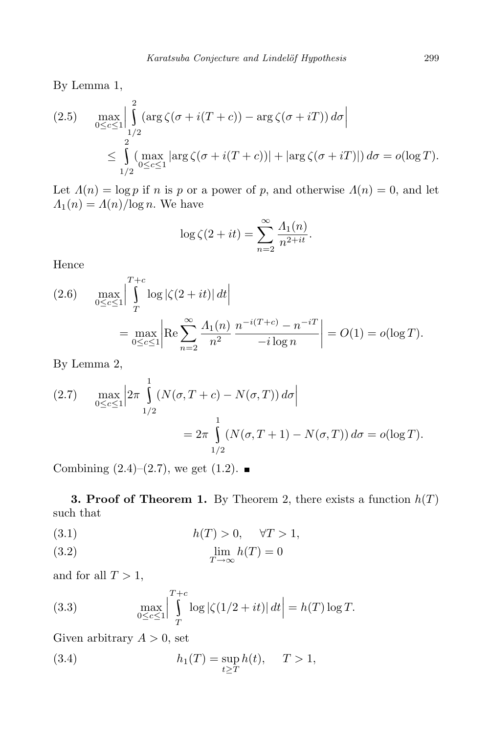By Lemma 1,

(2.5) 
$$
\max_{0 \leq c \leq 1} \left| \int_{1/2}^{2} (\arg \zeta(\sigma + i(T + c)) - \arg \zeta(\sigma + iT)) d\sigma \right|
$$
  

$$
\leq \int_{1/2}^{2} (\max_{0 \leq c \leq 1} |\arg \zeta(\sigma + i(T + c))| + |\arg \zeta(\sigma + iT)|) d\sigma = o(\log T).
$$

Let  $\Lambda(n) = \log p$  if *n* is *p* or a power of *p*, and otherwise  $\Lambda(n) = 0$ , and let  $\Lambda_1(n) = \Lambda(n)/\log n$ . We have

$$
\log \zeta(2+it) = \sum_{n=2}^{\infty} \frac{\Lambda_1(n)}{n^{2+it}}.
$$

Hence

(2.6) 
$$
\max_{0 \le c \le 1} \left| \int_{T}^{T+c} \log |\zeta(2+it)| dt \right|
$$
  
= 
$$
\max_{0 \le c \le 1} \left| \text{Re} \sum_{n=2}^{\infty} \frac{\Lambda_1(n)}{n^2} \frac{n^{-i(T+c)} - n^{-iT}}{-i \log n} \right| = O(1) = o(\log T).
$$

By Lemma 2,

(2.7) 
$$
\max_{0 \le c \le 1} \left| 2\pi \int_{1/2}^{1} (N(\sigma, T + c) - N(\sigma, T)) d\sigma \right|
$$
  
=  $2\pi \int_{1/2}^{1} (N(\sigma, T + 1) - N(\sigma, T)) d\sigma = o(\log T).$ 

Combining  $(2.4)$ – $(2.7)$ , we get  $(1.2)$ .

**3. Proof** of **Theorem 1.** By Theorem 2, there exists a function  $h(T)$ such that

$$
(3.1) \t\t\t h(T) > 0, \quad \forall T > 1,
$$

(3.2) 
$$
\lim_{T \to \infty} h(T) = 0
$$

and for all  $T > 1$ ,

(3.3) 
$$
\max_{0 \le c \le 1} \left| \int_{T}^{T+c} \log |\zeta(1/2 + it)| dt \right| = h(T) \log T.
$$

Given arbitrary  $A > 0$ , set

(3.4) 
$$
h_1(T) = \sup_{t \ge T} h(t), \quad T > 1,
$$